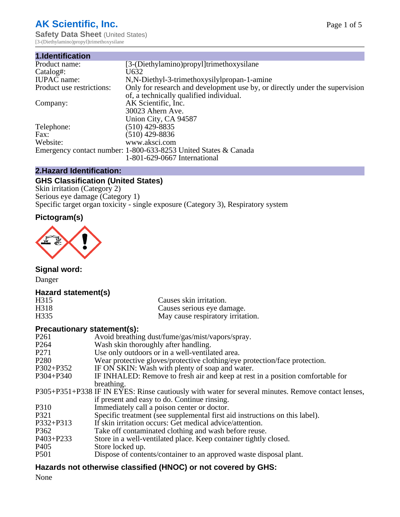## **AK Scientific, Inc.**

**Safety Data Sheet (United States)** [3-(Diethylamino)propyl]trimethoxysilane

| 1.Identification          |                                                                             |
|---------------------------|-----------------------------------------------------------------------------|
| Product name:             | [3-(Diethylamino)propyl]trimethoxysilane                                    |
| Catalog#:                 | U632                                                                        |
| <b>IUPAC</b> name:        | N, N-Diethyl-3-trimethoxysilylpropan-1-amine                                |
| Product use restrictions: | Only for research and development use by, or directly under the supervision |
|                           | of, a technically qualified individual.                                     |
| Company:                  | AK Scientific, Inc.                                                         |
|                           | 30023 Ahern Ave.                                                            |
|                           | Union City, CA 94587                                                        |
| Telephone:                | $(510)$ 429-8835                                                            |
| Fax:                      | $(510)$ 429-8836                                                            |
| Website:                  | www.aksci.com                                                               |
|                           | Emergency contact number: 1-800-633-8253 United States & Canada             |
|                           | 1-801-629-0667 International                                                |

## **2.Hazard Identification:**

## **GHS Classification (United States)**

Skin irritation (Category 2) Serious eye damage (Category 1) Specific target organ toxicity - single exposure (Category 3), Respiratory system

## **Pictogram(s)**



**Signal word:**

Danger

## **Hazard statement(s)**

| H <sub>315</sub> | Causes skin irritation.           |
|------------------|-----------------------------------|
| H318             | Causes serious eye damage.        |
| H335             | May cause respiratory irritation. |

## **Precautionary statement(s):**

| P <sub>261</sub> | Avoid breathing dust/fume/gas/mist/vapors/spray.                                                   |
|------------------|----------------------------------------------------------------------------------------------------|
| P <sub>264</sub> | Wash skin thoroughly after handling.                                                               |
| P <sub>271</sub> | Use only outdoors or in a well-ventilated area.                                                    |
| P <sub>280</sub> | Wear protective gloves/protective clothing/eye protection/face protection.                         |
| P302+P352        | IF ON SKIN: Wash with plenty of soap and water.                                                    |
| $P304 + P340$    | IF INHALED: Remove to fresh air and keep at rest in a position comfortable for                     |
|                  | breathing.                                                                                         |
|                  | P305+P351+P338 IF IN EYES: Rinse cautiously with water for several minutes. Remove contact lenses, |
|                  | if present and easy to do. Continue rinsing.                                                       |
| P310             | Immediately call a poison center or doctor.                                                        |
| P321             | Specific treatment (see supplemental first aid instructions on this label).                        |
| P332+P313        | If skin irritation occurs: Get medical advice/attention.                                           |
| P362             | Take off contaminated clothing and wash before reuse.                                              |
| $P403 + P233$    | Store in a well-ventilated place. Keep container tightly closed.                                   |
| P <sub>405</sub> | Store locked up.                                                                                   |
| P <sub>501</sub> | Dispose of contents/container to an approved waste disposal plant.                                 |
|                  |                                                                                                    |

## **Hazards not otherwise classified (HNOC) or not covered by GHS:**

None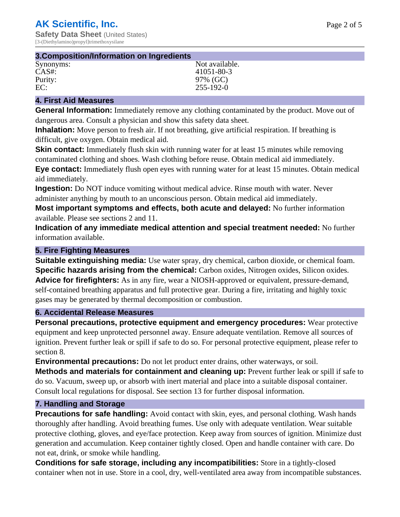| 3. Composition/Information on Ingredients |                 |  |
|-------------------------------------------|-----------------|--|
| Synonyms:                                 | Not available.  |  |
| CAS#:                                     | 41051-80-3      |  |
| Purity:                                   | 97% (GC)        |  |
| EC:                                       | $255 - 192 - 0$ |  |

### **4. First Aid Measures**

**General Information:** Immediately remove any clothing contaminated by the product. Move out of dangerous area. Consult a physician and show this safety data sheet.

**Inhalation:** Move person to fresh air. If not breathing, give artificial respiration. If breathing is difficult, give oxygen. Obtain medical aid.

**Skin contact:** Immediately flush skin with running water for at least 15 minutes while removing contaminated clothing and shoes. Wash clothing before reuse. Obtain medical aid immediately. **Eye contact:** Immediately flush open eyes with running water for at least 15 minutes. Obtain medical aid immediately.

**Ingestion:** Do NOT induce vomiting without medical advice. Rinse mouth with water. Never administer anything by mouth to an unconscious person. Obtain medical aid immediately.

**Most important symptoms and effects, both acute and delayed:** No further information available. Please see sections 2 and 11.

**Indication of any immediate medical attention and special treatment needed:** No further information available.

#### **5. Fire Fighting Measures**

**Suitable extinguishing media:** Use water spray, dry chemical, carbon dioxide, or chemical foam. **Specific hazards arising from the chemical:** Carbon oxides, Nitrogen oxides, Silicon oxides. **Advice for firefighters:** As in any fire, wear a NIOSH-approved or equivalent, pressure-demand, self-contained breathing apparatus and full protective gear. During a fire, irritating and highly toxic gases may be generated by thermal decomposition or combustion.

#### **6. Accidental Release Measures**

**Personal precautions, protective equipment and emergency procedures:** Wear protective equipment and keep unprotected personnel away. Ensure adequate ventilation. Remove all sources of ignition. Prevent further leak or spill if safe to do so. For personal protective equipment, please refer to section 8.

**Environmental precautions:** Do not let product enter drains, other waterways, or soil.

**Methods and materials for containment and cleaning up:** Prevent further leak or spill if safe to do so. Vacuum, sweep up, or absorb with inert material and place into a suitable disposal container. Consult local regulations for disposal. See section 13 for further disposal information.

#### **7. Handling and Storage**

**Precautions for safe handling:** Avoid contact with skin, eyes, and personal clothing. Wash hands thoroughly after handling. Avoid breathing fumes. Use only with adequate ventilation. Wear suitable protective clothing, gloves, and eye/face protection. Keep away from sources of ignition. Minimize dust generation and accumulation. Keep container tightly closed. Open and handle container with care. Do not eat, drink, or smoke while handling.

**Conditions for safe storage, including any incompatibilities:** Store in a tightly-closed container when not in use. Store in a cool, dry, well-ventilated area away from incompatible substances.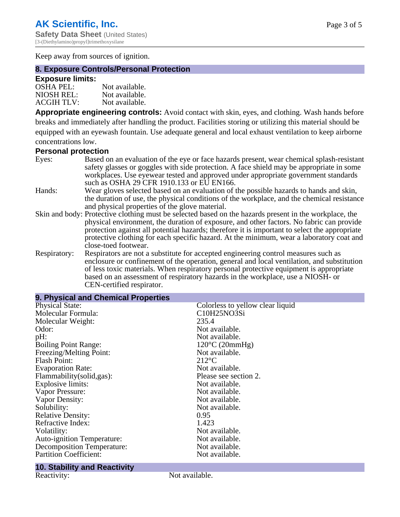Keep away from sources of ignition.

## **8. Exposure Controls/Personal Protection**

#### **Exposure limits:**

| <b>OSHA PEL:</b>  | Not available. |
|-------------------|----------------|
| NIOSH REL:        | Not available. |
| <b>ACGIH TLV:</b> | Not available. |

**Appropriate engineering controls:** Avoid contact with skin, eyes, and clothing. Wash hands before breaks and immediately after handling the product. Facilities storing or utilizing this material should be equipped with an eyewash fountain. Use adequate general and local exhaust ventilation to keep airborne concentrations low.

## **Personal protection**

| Eyes:        | Based on an evaluation of the eye or face hazards present, wear chemical splash-resistant<br>safety glasses or goggles with side protection. A face shield may be appropriate in some                                                                                                                                                                         |
|--------------|---------------------------------------------------------------------------------------------------------------------------------------------------------------------------------------------------------------------------------------------------------------------------------------------------------------------------------------------------------------|
|              | workplaces. Use eyewear tested and approved under appropriate government standards<br>such as OSHA 29 CFR 1910.133 or EU EN166.                                                                                                                                                                                                                               |
| Hands:       | Wear gloves selected based on an evaluation of the possible hazards to hands and skin,<br>the duration of use, the physical conditions of the workplace, and the chemical resistance<br>and physical properties of the glove material.                                                                                                                        |
|              | Skin and body: Protective clothing must be selected based on the hazards present in the workplace, the                                                                                                                                                                                                                                                        |
|              | physical environment, the duration of exposure, and other factors. No fabric can provide<br>protection against all potential hazards; therefore it is important to select the appropriate<br>protective clothing for each specific hazard. At the minimum, wear a laboratory coat and<br>close-toed footwear.                                                 |
| Respiratory: | Respirators are not a substitute for accepted engineering control measures such as<br>enclosure or confinement of the operation, general and local ventilation, and substitution<br>of less toxic materials. When respiratory personal protective equipment is appropriate<br>based on an assessment of respiratory hazards in the workplace, use a NIOSH- or |

| CEN-certified respirator. |  |
|---------------------------|--|
|                           |  |

| 9. Physical and Chemical Properties |                                  |  |  |
|-------------------------------------|----------------------------------|--|--|
| <b>Physical State:</b>              | Colorless to yellow clear liquid |  |  |
| Molecular Formula:                  | C10H25NO3Si                      |  |  |
| Molecular Weight:                   | 235.4                            |  |  |
| Odor:                               | Not available.                   |  |  |
| pH:                                 | Not available.                   |  |  |
| <b>Boiling Point Range:</b>         | $120^{\circ}$ C (20mmHg)         |  |  |
| Freezing/Melting Point:             | Not available.                   |  |  |
| <b>Flash Point:</b>                 | $212^{\circ}$ C                  |  |  |
| <b>Evaporation Rate:</b>            | Not available.                   |  |  |
| Flammability(solid,gas):            | Please see section 2.            |  |  |
| <b>Explosive limits:</b>            | Not available.                   |  |  |
| Vapor Pressure:                     | Not available.                   |  |  |
| Vapor Density:                      | Not available.                   |  |  |
| Solubility:                         | Not available.                   |  |  |
| <b>Relative Density:</b>            | 0.95                             |  |  |
| Refractive Index:                   | 1.423                            |  |  |
| Volatility:                         | Not available.                   |  |  |
| Auto-ignition Temperature:          | Not available.                   |  |  |
| <b>Decomposition Temperature:</b>   | Not available.                   |  |  |
| <b>Partition Coefficient:</b>       | Not available.                   |  |  |

# **10. Stability and Reactivity**

Not available.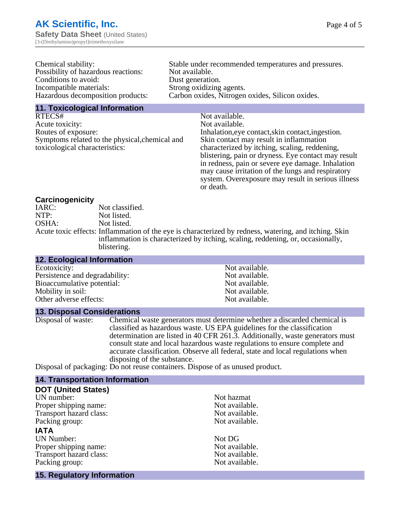| Chemical stability:                               | Stable under recommended temperatures and pressures. |
|---------------------------------------------------|------------------------------------------------------|
| Possibility of hazardous reactions:               | Not available.                                       |
| Conditions to avoid:                              | Dust generation.                                     |
| Incompatible materials:                           | Strong oxidizing agents.                             |
| Hazardous decomposition products:                 | Carbon oxides, Nitrogen oxides, Silicon oxides.      |
| Added The standard and and I had a more of the se |                                                      |

**11. Toxicological Information**

RTECS# Not available. Acute toxicity: Not available. Routes of exposure: Inhalation,eye contact,skin contact,ingestion. Symptoms related to the physical,chemical and toxicological characteristics:

Skin contact may result in inflammation characterized by itching, scaling, reddening, blistering, pain or dryness. Eye contact may result in redness, pain or severe eye damage. Inhalation may cause irritation of the lungs and respiratory system. Overexposure may result in serious illness or death.

## **Carcinogenicity**

IARC: Not classified.<br>
Not listed. NTP:<br>
OSHA: Not listed.<br>
Not listed. Not listed. Acute toxic effects: Inflammation of the eye is characterized by redness, watering, and itching. Skin inflammation is characterized by itching, scaling, reddening, or, occasionally, blistering.

#### **12. Ecological Information** Ecotoxicity: Not available.<br>
Not available.<br>
Not available.<br>
Not available. Persistence and degradability:<br>
Bioaccumulative potential:<br>
Not available.<br>
Not available. Bioaccumulative potential:<br>
Mobility in soil:<br>
Mobility in soil:<br>
Not available. Mobility in soil:<br>
Other adverse effects:<br>
Other adverse effects:<br>
Not available. Other adverse effects:

**13. Disposal Considerations**

Disposal of waste: Chemical waste generators must determine whether a discarded chemical is classified as hazardous waste. US EPA guidelines for the classification determination are listed in 40 CFR 261.3. Additionally, waste generators must consult state and local hazardous waste regulations to ensure complete and accurate classification. Observe all federal, state and local regulations when disposing of the substance.

Disposal of packaging: Do not reuse containers. Dispose of as unused product.

## **14. Transportation Information**

| <b>DOT (United States)</b>        |                |
|-----------------------------------|----------------|
| UN number:                        | Not hazmat     |
| Proper shipping name:             | Not available. |
| Transport hazard class:           | Not available. |
| Packing group:                    | Not available. |
| <b>IATA</b>                       |                |
| <b>UN Number:</b>                 | Not DG         |
| Proper shipping name:             | Not available. |
| Transport hazard class:           | Not available. |
| Packing group:                    | Not available. |
| <b>15. Regulatory Information</b> |                |